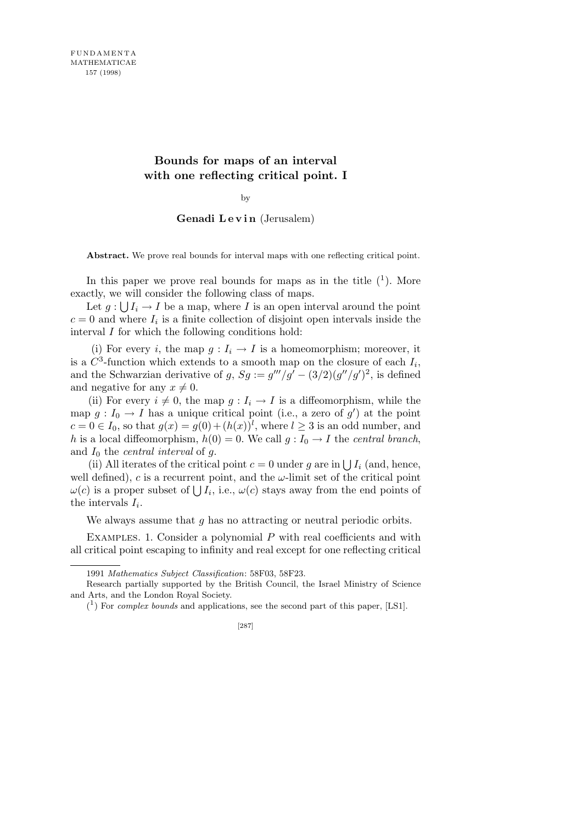## **Bounds for maps of an interval with one reflecting critical point. I**

by

## Genadi Levin (Jerusalem)

**Abstract.** We prove real bounds for interval maps with one reflecting critical point.

In this paper we prove real bounds for maps as in the title  $(1)$ . More exactly, we will consider the following class of maps.

Let  $g: \bigcup I_i \to I$  be a map, where *I* is an open interval around the point  $c = 0$  and where  $I_i$  is a finite collection of disjoint open intervals inside the interval *I* for which the following conditions hold:

(i) For every *i*, the map  $g: I_i \to I$  is a homeomorphism; moreover, it is a  $C^3$ -function which extends to a smooth map on the closure of each  $I_i$ , and the Schwarzian derivative of  $g$ ,  $Sg := g'''/g' - (3/2)(g''/g')^2$ , is defined and negative for any  $x \neq 0$ .

(ii) For every  $i \neq 0$ , the map  $g: I_i \to I$  is a diffeomorphism, while the map  $g: I_0 \to I$  has a unique critical point (i.e., a zero of  $g'$ ) at the point  $c = 0 \in I_0$ , so that  $g(x) = g(0) + (h(x))^l$ , where  $l \geq 3$  is an odd number, and *h* is a local diffeomorphism,  $h(0) = 0$ . We call  $g: I_0 \to I$  the *central branch*, and *I*<sup>0</sup> the *central interval* of *g*.

(ii) All iterates of the critical point  $c = 0$  under g are in  $\bigcup I_i$  (and, hence, well defined),  $c$  is a recurrent point, and the  $\omega$ -limit set of the critical point wen defined), *c* is a recurrent point, and the  $\omega$ -film set of the critical points  $\omega(c)$  is a proper subset of  $\bigcup I_i$ , i.e.,  $\omega(c)$  stays away from the end points of the intervals  $I_i$ .

We always assume that *g* has no attracting or neutral periodic orbits.

EXAMPLES. 1. Consider a polynomial P with real coefficients and with all critical point escaping to infinity and real except for one reflecting critical

<sup>1991</sup> *Mathematics Subject Classification*: 58F03, 58F23.

Research partially supported by the British Council, the Israel Ministry of Science and Arts, and the London Royal Society.

 $(1)$  For *complex bounds* and applications, see the second part of this paper, [LS1].

<sup>[287]</sup>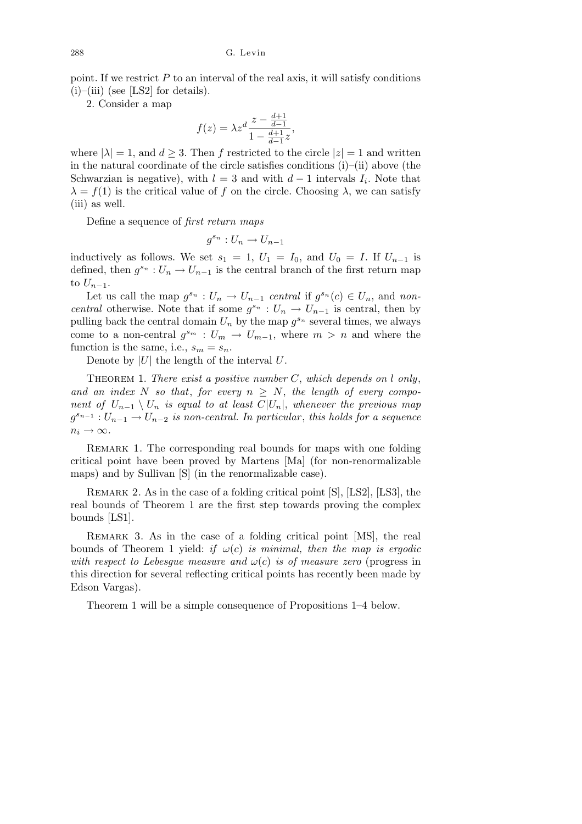point. If we restrict *P* to an interval of the real axis, it will satisfy conditions  $(i)$ –(iii) (see [LS2] for details).

2. Consider a map

$$
f(z) = \lambda z^d \frac{z - \frac{d+1}{d-1}}{1 - \frac{d+1}{d-1}z},
$$

where  $|\lambda| = 1$ , and  $d \geq 3$ . Then f restricted to the circle  $|z| = 1$  and written in the natural coordinate of the circle satisfies conditions (i)–(ii) above (the Schwarzian is negative), with  $l = 3$  and with  $d - 1$  intervals  $I_i$ . Note that  $λ = f(1)$  is the critical value of *f* on the circle. Choosing  $λ$ , we can satisfy (iii) as well.

Define a sequence of *first return maps*

$$
g^{s_n}: U_n \to U_{n-1}
$$

inductively as follows. We set  $s_1 = 1$ ,  $U_1 = I_0$ , and  $U_0 = I$ . If  $U_{n-1}$  is defined, then  $g^{s_n}: U_n \to U_{n-1}$  is the central branch of the first return map to  $U_{n-1}$ .

Let us call the map  $g^{s_n}: U_n \to U_{n-1}$  central if  $g^{s_n}(c) \in U_n$ , and non*central* otherwise. Note that if some  $g^{s_n}: U_n \to U_{n-1}$  is central, then by pulling back the central domain  $U_n$  by the map  $g^{s_n}$  several times, we always come to a non-central  $g^{s_m}: U_m \to U_{m-1}$ , where  $m > n$  and where the function is the same, i.e.,  $s_m = s_n$ .

Denote by  $|U|$  the length of the interval  $U$ .

Theorem 1. *There exist a positive number C*, *which depends on l only*, and an index N so that, for every  $n > N$ , the length of every compo*nent of*  $U_{n-1} \setminus U_n$  *is equal to at least*  $C|U_n|$ *, whenever the previous map*  $g^{s_{n-1}}: U_{n-1} \to U_{n-2}$  *is non-central. In particular, this holds for a sequence*  $n_i \rightarrow \infty$ .

REMARK 1. The corresponding real bounds for maps with one folding critical point have been proved by Martens [Ma] (for non-renormalizable maps) and by Sullivan [S] (in the renormalizable case).

REMARK 2. As in the case of a folding critical point [S], [LS2], [LS3], the real bounds of Theorem 1 are the first step towards proving the complex bounds [LS1].

Remark 3. As in the case of a folding critical point [MS], the real bounds of Theorem 1 yield: *if*  $\omega(c)$  *is minimal, then the map is ergodic with respect to Lebesgue measure and*  $\omega(c)$  *is of measure zero* (progress in this direction for several reflecting critical points has recently been made by Edson Vargas).

Theorem 1 will be a simple consequence of Propositions 1–4 below.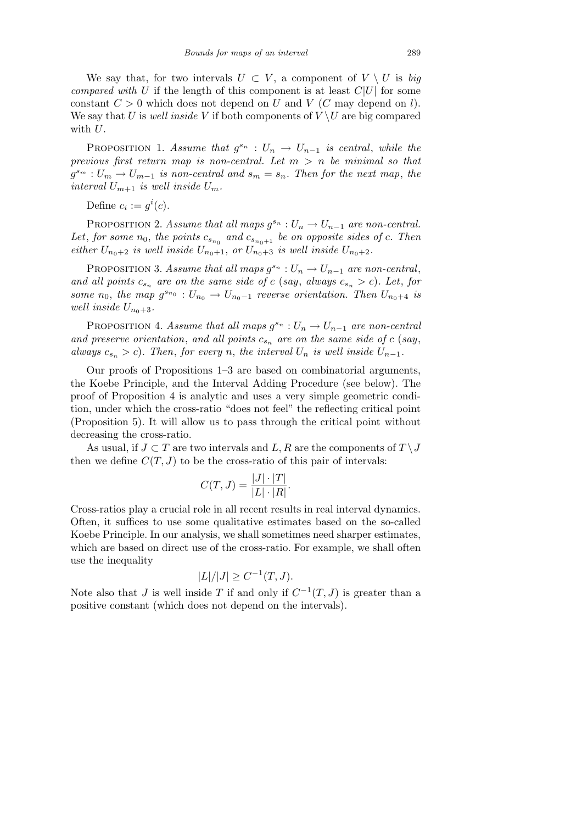We say that, for two intervals  $U \subset V$ , a component of  $V \setminus U$  is *big compared with U* if the length of this component is at least  $C|U|$  for some constant  $C > 0$  which does not depend on *U* and *V* (*C* may depend on *l*). We say that *U* is *well inside V* if both components of  $V \setminus U$  are big compared with *U*.

PROPOSITION 1. *Assume that*  $g^{s_n}: U_n \to U_{n-1}$  *is central, while the previous first return map is non-central. Let m > n be minimal so that*  $g^{s_m}: U_m \to U_{m-1}$  *is non-central and*  $s_m = s_n$ . Then for the next map, the *interval*  $U_{m+1}$  *is well inside*  $U_m$ *.* 

Define  $c_i := g^i(c)$ .

PROPOSITION 2. *Assume that all maps*  $g^{s_n}: U_n \to U_{n-1}$  *are non-central.* Let, for some  $n_0$ , the points  $c_{s_{n_0}}$  and  $c_{s_{n_0+1}}$  be on opposite sides of  $c$ . Then *either*  $U_{n_0+2}$  *is well inside*  $U_{n_0+1}$ *, or*  $U_{n_0+3}$  *is well inside*  $U_{n_0+2}$ *.* 

PROPOSITION 3. *Assume that all maps*  $g^{s_n}: U_n \to U_{n-1}$  *are non-central*, *and all points*  $c_{s_n}$  are on the same side of  $c$  (say, always  $c_{s_n} > c$ ). Let, for *some*  $n_0$ , the map  $g^{s_{n_0}} : U_{n_0} \to U_{n_0-1}$  reverse orientation. Then  $U_{n_0+4}$  is *well inside*  $U_{n_0+3}$ *.* 

PROPOSITION 4. *Assume that all maps*  $g^{s_n}: U_n \to U_{n-1}$  *are non-central and preserve orientation*, *and all points c<sup>s</sup><sup>n</sup> are on the same side of c* (*say*, *always*  $c_{s_n} > c$ ). Then, for every *n*, the interval  $U_n$  is well inside  $U_{n-1}$ .

Our proofs of Propositions 1–3 are based on combinatorial arguments, the Koebe Principle, and the Interval Adding Procedure (see below). The proof of Proposition 4 is analytic and uses a very simple geometric condition, under which the cross-ratio "does not feel" the reflecting critical point (Proposition 5). It will allow us to pass through the critical point without decreasing the cross-ratio.

As usual, if  $J \subset T$  are two intervals and  $L, R$  are the components of  $T \setminus J$ then we define  $C(T, J)$  to be the cross-ratio of this pair of intervals:

$$
C(T,J) = \frac{|J| \cdot |T|}{|L| \cdot |R|}.
$$

Cross-ratios play a crucial role in all recent results in real interval dynamics. Often, it suffices to use some qualitative estimates based on the so-called Koebe Principle. In our analysis, we shall sometimes need sharper estimates, which are based on direct use of the cross-ratio. For example, we shall often use the inequality

$$
|L|/|J| \ge C^{-1}(T, J).
$$

Note also that *J* is well inside *T* if and only if  $C^{-1}(T, J)$  is greater than a positive constant (which does not depend on the intervals).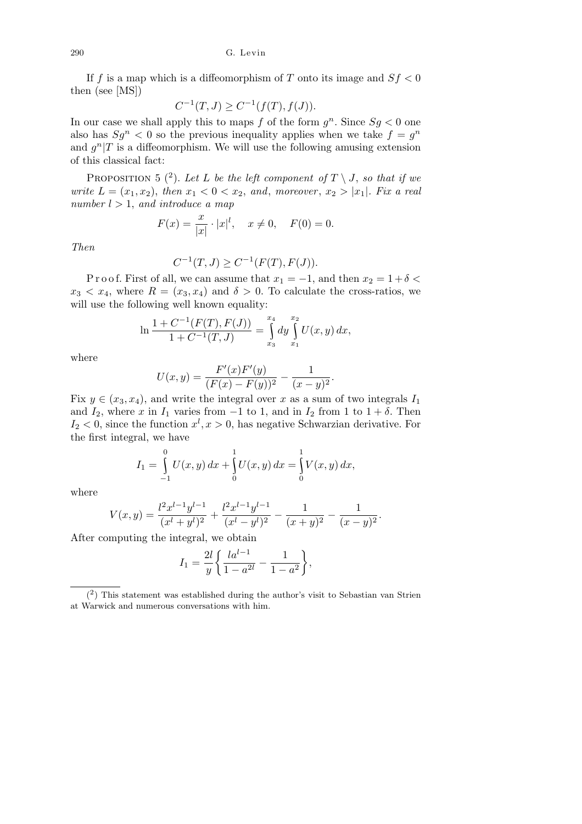If *f* is a map which is a diffeomorphism of *T* onto its image and *Sf <* 0 then (see [MS])

$$
C^{-1}(T, J) \ge C^{-1}(f(T), f(J)).
$$

In our case we shall apply this to maps  $f$  of the form  $g^n$ . Since  $Sg < 0$  one also has  $Sg^n < 0$  so the previous inequality applies when we take  $f = g^n$ and  $g^{n}|T$  is a diffeomorphism. We will use the following amusing extension of this classical fact:

PROPOSITION 5  $(2)$ . Let L be the left component of  $T \setminus J$ , so that if we *write*  $L = (x_1, x_2)$ , *then*  $x_1 < 0 < x_2$ , *and*, *moreover*,  $x_2 > |x_1|$ *. Fix a real number l >* 1, *and introduce a map*

$$
F(x) = \frac{x}{|x|} \cdot |x|^l, \quad x \neq 0, \quad F(0) = 0.
$$

*Then*

$$
C^{-1}(T, J) \ge C^{-1}(F(T), F(J)).
$$

P r o o f. First of all, we can assume that  $x_1 = -1$ , and then  $x_2 = 1 + \delta <$  $x_3 < x_4$ , where  $R = (x_3, x_4)$  and  $\delta > 0$ . To calculate the cross-ratios, we will use the following well known equality:

$$
\ln \frac{1 + C^{-1}(F(T), F(J))}{1 + C^{-1}(T, J)} = \int_{x_3}^{x_4} dy \int_{x_1}^{x_2} U(x, y) dx,
$$

where

$$
U(x,y) = \frac{F'(x)F'(y)}{(F(x) - F(y))^2} - \frac{1}{(x-y)^2}.
$$

Fix  $y \in (x_3, x_4)$ , and write the integral over *x* as a sum of two integrals  $I_1$ and  $I_2$ , where *x* in  $I_1$  varies from  $-1$  to 1, and in  $I_2$  from 1 to  $1 + \delta$ . Then  $I_2$  < 0, since the function  $x^l, x > 0$ , has negative Schwarzian derivative. For the first integral, we have

$$
I_1 = \int_{-1}^{0} U(x, y) dx + \int_{0}^{1} U(x, y) dx = \int_{0}^{1} V(x, y) dx,
$$

where

$$
V(x,y) = \frac{l^2x^{l-1}y^{l-1}}{(x^l+y^l)^2} + \frac{l^2x^{l-1}y^{l-1}}{(x^l-y^l)^2} - \frac{1}{(x+y)^2} - \frac{1}{(x-y)^2}.
$$

After computing the integral, we obtain

$$
I_1 = \frac{2l}{y} \left\{ \frac{la^{l-1}}{1 - a^{2l}} - \frac{1}{1 - a^2} \right\},\,
$$

 $(2)$  This statement was established during the author's visit to Sebastian van Strien at Warwick and numerous conversations with him.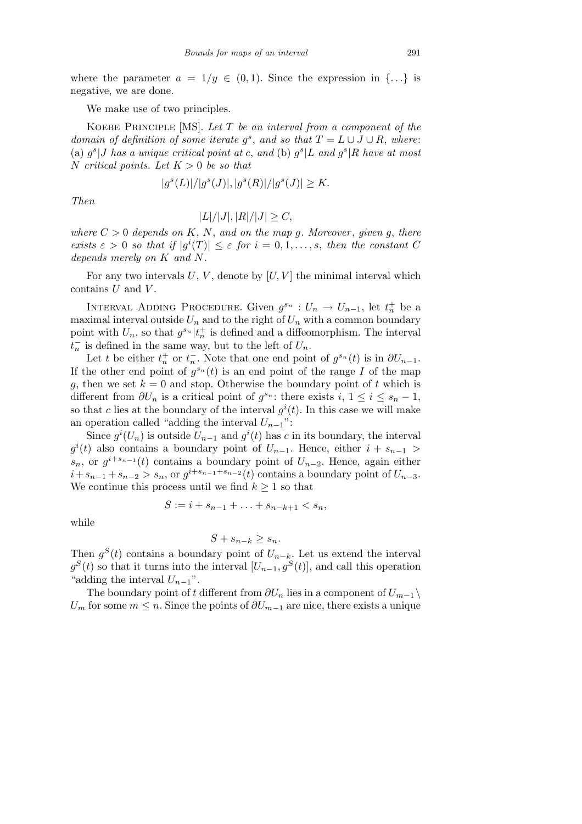where the parameter  $a = 1/y \in (0,1)$ . Since the expression in  $\{... \}$  is negative, we are done.

We make use of two principles.

Koebe Principle [MS]. *Let T be an interval from a component of the domain of definition of some iterate*  $g^s$ , and so that  $T = L \cup J \cup R$ , where: (a)  $g^s$  *J* has a unique critical point at c, and (b)  $g^s$  *L* and  $g^s$  *R* have at most *N critical points. Let K >* 0 *be so that*

$$
|g^{s}(L)|/|g^{s}(J)|, |g^{s}(R)|/|g^{s}(J)| \geq K.
$$

*Then*

$$
|L|/|J|, |R|/|J| \ge C,
$$

*where*  $C > 0$  *depends on*  $K, N$ , and on the map *g*. Moreover, *given g*, there *exists*  $\varepsilon > 0$  *so that if*  $|g^{i}(T)| \leq \varepsilon$  *for*  $i = 0, 1, \ldots, s$ , *then the constant C depends merely on K and N.*

For any two intervals  $U, V$ , denote by  $[U, V]$  the minimal interval which contains *U* and *V* .

INTERVAL ADDING PROCEDURE. Given  $g^{s_n}: U_n \to U_{n-1}$ , let  $t_n^+$  be a maximal interval outside  $U_n$  and to the right of  $U_n$  with a common boundary point with  $U_n$ , so that  $g^{s_n}|t_n^+$  is defined and a diffeomorphism. The interval  $t_n^-$  is defined in the same way, but to the left of  $U_n$ .

Let *t* be either  $t_n^+$  or  $t_n^-$ . Note that one end point of  $g^{s_n}(t)$  is in  $\partial U_{n-1}$ . If the other end point of  $g^{s_n}(t)$  is an end point of the range *I* of the map *g*, then we set  $k = 0$  and stop. Otherwise the boundary point of *t* which is different from  $\partial U_n$  is a critical point of  $g^{s_n}$ : there exists  $i, 1 \leq i \leq s_n - 1$ , so that *c* lies at the boundary of the interval  $g^{i}(t)$ . In this case we will make an operation called "adding the interval  $U_{n-1}$ ":

Since  $g^{i}(U_{n})$  is outside  $U_{n-1}$  and  $g^{i}(t)$  has *c* in its boundary, the interval  $g^{i}(t)$  also contains a boundary point of  $U_{n-1}$ . Hence, either  $i + s_{n-1}$ *s*<sup>*n*</sup>, or  $g^{i+s_{n-1}}(t)$  contains a boundary point of  $U_{n-2}$ . Hence, again either  $i + s_{n-1} + s_{n-2} > s_n$ , or  $g^{i+s_{n-1}+s_{n-2}}(t)$  contains a boundary point of  $U_{n-3}$ . We continue this process until we find  $k \geq 1$  so that

$$
S := i + s_{n-1} + \ldots + s_{n-k+1} < s_n,
$$

while

$$
S + s_{n-k} \ge s_n.
$$

Then  $g^{S}(t)$  contains a boundary point of  $U_{n-k}$ . Let us extend the interval  $g^{S}(t)$  so that it turns into the interval  $[U_{n-1}, g^{S}(t)]$ , and call this operation "adding the interval  $U_{n-1}$ ".

The boundary point of *t* different from  $\partial U_n$  lies in a component of  $U_{m-1} \setminus$ *U*<sup>m</sup> for some  $m \leq n$ . Since the points of  $\partial U_{m-1}$  are nice, there exists a unique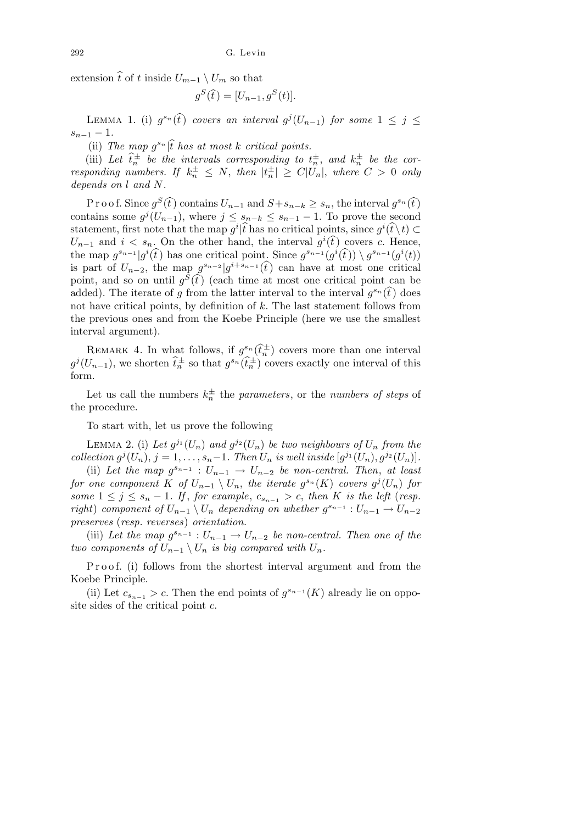extension  $\hat{t}$  of *t* inside  $U_{m-1} \setminus U_m$  so that

$$
g^{S}(\widehat{t}) = [U_{n-1}, g^{S}(t)].
$$

LEMMA 1. (i)  $g^{s_n}(\hat{t})$  *covers an interval*  $g^j(U_{n-1})$  *for some*  $1 \leq j \leq$  $s_{n-1} - 1$ .

(ii) The map  $g^{s_n}$   $|\hat{t}|\$  has at most  $k$  critical points.

(iii) Let  $\hat{t}_n^{\pm}$  be the intervals corresponding to  $t_n^{\pm}$ , and  $k_n^{\pm}$  be the cor*responding numbers.* If  $k_n^{\pm} \leq N$ , then  $|t_n^{\pm}| \geq C|U_n|$ , where  $C > 0$  only *depends on l and N.*

P r o o f. Since  $g^S(\hat{t})$  contains  $U_{n-1}$  and  $S + s_{n-k} \geq s_n$ , the interval  $g^{s_n}(\hat{t})$ contains some  $g^{j}(U_{n-1})$ , where  $j \leq s_{n-k} \leq s_{n-1} - 1$ . To prove the second statement, first note that the map  $g^i\hat{t}$  has no critical points, since  $g^i(\hat{t}\setminus t) \subset$  $U_{n-1}$  and  $i < s_n$ . On the other hand, the interval  $g^i(\hat{t})$  covers *c*. Hence, the map  $g^{s_{n-1}}|g^i(\hat{t})$  has one critical point. Since  $g^{s_{n-1}}(g^i(\hat{t})) \setminus g^{s_{n-1}}(g^i(t))$ is part of  $U_{n-2}$ , the map  $g^{s_{n-2}}|g^{i+s_{n-1}}(\hat{t})$  can have at most one critical point, and so on until  $g^{\overline{S}}(\tilde{t})$  (each time at most one critical point can be added). The iterate of *g* from the latter interval to the interval  $g^{s_n}(\hat{t})$  does not have critical points, by definition of *k*. The last statement follows from the previous ones and from the Koebe Principle (here we use the smallest interval argument).

REMARK 4. In what follows, if  $g^{s_n}(\hat{t}^{\pm}_n)$  covers more than one interval  $g^{j}(U_{n-1})$ , we shorten  $\widehat{t}_{n}^{\pm}$  so that  $g^{s_{n}}(\widehat{t}_{n}^{\pm})$  covers exactly one interval of this form.

Let us call the numbers  $k_n^{\pm}$  the *parameters*, or the *numbers of steps* of the procedure.

To start with, let us prove the following

LEMMA 2. (i) Let  $g^{j_1}(U_n)$  and  $g^{j_2}(U_n)$  be two neighbours of  $U_n$  from the collection  $g^{j}(U_n)$ ,  $j = 1, ..., s_n-1$ . Then  $U_n$  is well inside  $[g^{j_1}(U_n), g^{j_2}(U_n)]$ .

(ii) Let the map  $g^{s_{n-1}}: U_{n-1} \to U_{n-2}$  be non-central. Then, at least *for one component*  $K$  *of*  $U_{n-1} \setminus U_n$ , the iterate  $g^{s_n}(K)$  covers  $g^j(U_n)$  for *some*  $1 ≤ j ≤ s_n - 1$ *. If, for example,*  $c_{s_{n-1}} > c$ *, then K is the left* (*resp. right*) *component of*  $U_{n-1} \setminus U_n$  *depending on whether*  $g^{s_{n-1}} : U_{n-1} \to U_{n-2}$ *preserves* (*resp. reverses*) *orientation.*

(iii) Let the map  $g^{s_{n-1}}: U_{n-1} \to U_{n-2}$  be non-central. Then one of the *two components of*  $U_{n-1} \setminus U_n$  *is big compared with*  $U_n$ *.* 

P r o o f. (i) follows from the shortest interval argument and from the Koebe Principle.

(ii) Let  $c_{s_{n-1}} > c$ . Then the end points of  $g^{s_{n-1}}(K)$  already lie on opposite sides of the critical point *c*.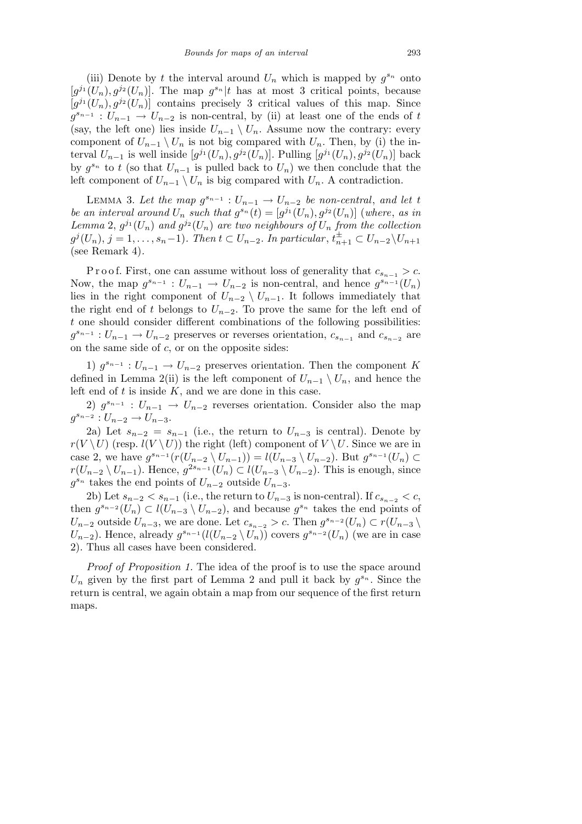(iii) Denote by *t* the interval around  $U_n$  which is mapped by  $g^{s_n}$  onto  $[g^{j_1}(U_n), g^{j_2}(U_n)]$ . The map  $g^{s_n}|t$  has at most 3 critical points, because  $[g^{j_1}(U_n), g^{j_2}(U_n)]$  contains precisely 3 critical values of this map. Since  $g^{s_{n-1}}: U_{n-1} \to U_{n-2}$  is non-central, by (ii) at least one of the ends of *t* (say, the left one) lies inside  $U_{n-1} \setminus U_n$ . Assume now the contrary: every component of  $U_{n-1} \setminus U_n$  is not big compared with  $U_n$ . Then, by (i) the interval  $U_{n-1}$  is well inside  $[g^{j_1}(U_n), g^{j_2}(U_n)]$ . Pulling  $[g^{j_1}(U_n), g^{j_2}(U_n)]$  back by  $g^{s_n}$  to *t* (so that  $U_{n-1}$  is pulled back to  $U_n$ ) we then conclude that the left component of  $U_{n-1} \setminus U_n$  is big compared with  $U_n$ . A contradiction.

LEMMA 3. Let the map  $g^{s_{n-1}}: U_{n-1} \to U_{n-2}$  be non-central, and let t *be an interval around*  $U_n$  *such that*  $g^{s_n}(t) = [g^{j_1}(U_n), g^{j_2}(U_n)]$  (where, *as in Lemma* 2,  $g^{j_1}(U_n)$  *and*  $g^{j_2}(U_n)$  *are two neighbours of*  $U_n$  *from the collection*  $g^{j}(U_{n}), j = 1, \ldots, s_{n}-1$ ). Then  $t \subset U_{n-2}$ . In particular,  $t_{n+1}^{\pm} \subset U_{n-2} \backslash U_{n+1}$ (see Remark 4)*.*

P r o o f. First, one can assume without loss of generality that  $c_{s_{n-1}} > c$ . Now, the map  $g^{s_{n-1}}: U_{n-1} \to U_{n-2}$  is non-central, and hence  $g^{s_{n-1}}(U_n)$ lies in the right component of  $U_{n-2} \setminus U_{n-1}$ . It follows immediately that the right end of *t* belongs to  $U_{n-2}$ . To prove the same for the left end of *t* one should consider different combinations of the following possibilities:  $g^{s_{n-1}}: U_{n-1} \to U_{n-2}$  preserves or reverses orientation,  $c_{s_{n-1}}$  and  $c_{s_{n-2}}$  are on the same side of *c*, or on the opposite sides:

1)  $g^{s_{n-1}}$  :  $U_{n-1}$  →  $U_{n-2}$  preserves orientation. Then the component *K* defined in Lemma 2(ii) is the left component of  $U_{n-1} \setminus U_n$ , and hence the left end of *t* is inside *K*, and we are done in this case.

2)  $g^{s_{n-1}}$  :  $U_{n-1} \rightarrow U_{n-2}$  reverses orientation. Consider also the map  $g^{s_{n-2}}: U_{n-2} \to U_{n-3}.$ 

2a) Let  $s_{n-2} = s_{n-1}$  (i.e., the return to  $U_{n-3}$  is central). Denote by  $r(V \setminus U)$  (resp.  $l(V \setminus U)$ ) the right (left) component of  $V \setminus U$ . Since we are in case 2, we have  $g^{s_{n-1}}(r(U_{n-2} \setminus U_{n-1})) = l(U_{n-3} \setminus U_{n-2})$ . But  $g^{s_{n-1}}(U_n) \subset$  $r(U_{n-2} \setminus U_{n-1})$ . Hence,  $g^{2s_{n-1}}(U_n) \subset l(U_{n-3} \setminus U_{n-2})$ . This is enough, since  $g^{s_n}$  takes the end points of  $U_{n-2}$  outside  $U_{n-3}$ .

2b) Let  $s_{n-2} < s_{n-1}$  (i.e., the return to  $U_{n-3}$  is non-central). If  $c_{s_{n-2}} < c$ , then  $g^{s_{n-2}}(U_n) \subset l(U_{n-3} \setminus U_{n-2})$ , and because  $g^{s_n}$  takes the end points of  $U_{n-2}$  outside  $U_{n-3}$ , we are done. Let  $c_{s_{n-2}} > c$ . Then  $g^{s_{n-2}}(U_n) \subset r(U_{n-3})$ *U*<sub>*n*</sub>-2</sub>). Hence, already  $g^{s_{n-1}}(l(U_{n-2} \setminus U_n))$  covers  $g^{s_{n-2}}(U_n)$  (we are in case 2). Thus all cases have been considered.

*Proof of Proposition 1.* The idea of the proof is to use the space around  $U_n$  given by the first part of Lemma 2 and pull it back by  $g^{s_n}$ . Since the return is central, we again obtain a map from our sequence of the first return maps.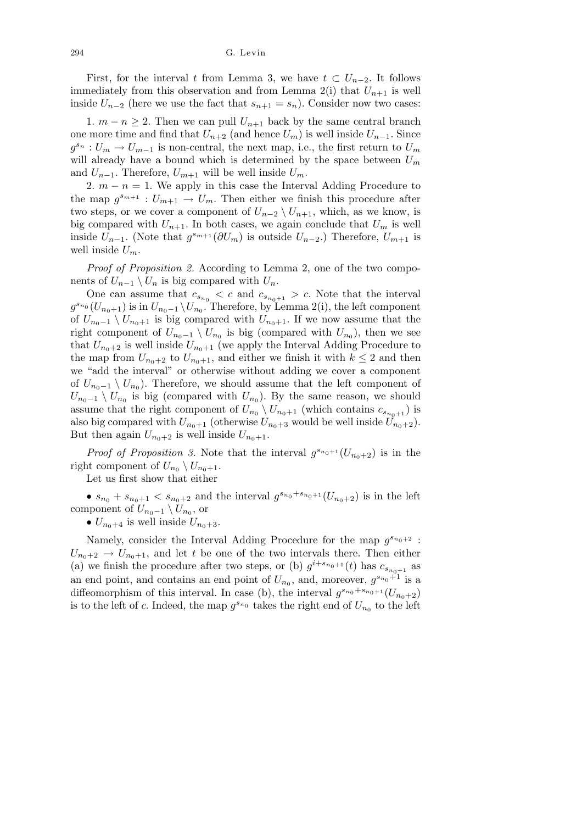First, for the interval *t* from Lemma 3, we have  $t \text{ }\subset U_{n-2}$ . It follows immediately from this observation and from Lemma  $2(i)$  that  $U_{n+1}$  is well inside  $U_{n-2}$  (here we use the fact that  $s_{n+1} = s_n$ ). Consider now two cases:

1.  $m - n \geq 2$ . Then we can pull  $U_{n+1}$  back by the same central branch one more time and find that  $U_{n+2}$  (and hence  $U_m$ ) is well inside  $U_{n-1}$ . Since  $g^{s_n}: U_m \to U_{m-1}$  is non-central, the next map, i.e., the first return to  $U_m$ will already have a bound which is determined by the space between *U<sup>m</sup>* and  $U_{n-1}$ . Therefore,  $U_{m+1}$  will be well inside  $U_m$ .

2.  $m - n = 1$ . We apply in this case the Interval Adding Procedure to the map  $g^{s_{m+1}}: U_{m+1} \to U_m$ . Then either we finish this procedure after two steps, or we cover a component of  $U_{n-2} \setminus U_{n+1}$ , which, as we know, is big compared with  $U_{n+1}$ . In both cases, we again conclude that  $U_m$  is well inside  $U_{n-1}$ . (Note that  $g^{s_{m+1}}(\partial U_m)$  is outside  $U_{n-2}$ .) Therefore,  $U_{m+1}$  is well inside  $U_m$ .

*Proof of Proposition 2.* According to Lemma 2, one of the two components of  $U_{n-1} \setminus U_n$  is big compared with  $U_n$ .

One can assume that  $c_{s_{n_0}} < c$  and  $c_{s_{n_0+1}} > c$ . Note that the interval  $g^{s_{n_0}}(U_{n_0+1})$  is in  $U_{n_0-1} \setminus U_{n_0}$ . Therefore, by Lemma 2(i), the left component of  $U_{n_0-1} \setminus U_{n_0+1}$  is big compared with  $U_{n_0+1}$ . If we now assume that the right component of  $U_{n_0-1} \setminus U_{n_0}$  is big (compared with  $U_{n_0}$ ), then we see that  $U_{n_0+2}$  is well inside  $U_{n_0+1}$  (we apply the Interval Adding Procedure to the map from  $U_{n_0+2}$  to  $U_{n_0+1}$ , and either we finish it with  $k \leq 2$  and then we "add the interval" or otherwise without adding we cover a component of  $U_{n_0-1} \setminus U_{n_0}$ ). Therefore, we should assume that the left component of  $U_{n_0-1} \setminus U_{n_0}$  is big (compared with  $U_{n_0}$ ). By the same reason, we should assume that the right component of  $U_{n_0} \setminus U_{n_0+1}$  (which contains  $c_{s_{n_0+1}}$ ) is also big compared with  $U_{n_0+1}$  (otherwise  $U_{n_0+3}$  would be well inside  $\tilde{U}_{n_0+2}$ ). But then again  $U_{n_0+2}$  is well inside  $U_{n_0+1}$ .

*Proof of Proposition 3.* Note that the interval  $g^{s_{n_0+1}}(U_{n_0+2})$  is in the right component of  $U_{n_0} \setminus U_{n_0+1}$ .

Let us first show that either

•  $s_{n_0} + s_{n_0+1} < s_{n_0+2}$  and the interval  $g^{s_{n_0}+s_{n_0+1}}(U_{n_0+2})$  is in the left component of  $U_{n_0-1} \setminus U_{n_0}$ , or

•  $U_{n_0+4}$  is well inside  $U_{n_0+3}$ .

Namely, consider the Interval Adding Procedure for the map  $g^{s_{n_0+2}}$ :  $U_{n_0+2} \rightarrow U_{n_0+1}$ , and let *t* be one of the two intervals there. Then either (a) we finish the procedure after two steps, or (b)  $g^{i+s_{n_0+1}}(t)$  has  $c_{s_{n_0+1}}$  as an end point, and contains an end point of  $U_{n_0}$ , and, moreover,  $g^{s_{n_0}+1}$  is a diffeomorphism of this interval. In case (b), the interval  $g^{s_{n_0}+s_{n_0+1}}(U_{n_0+2})$ is to the left of *c*. Indeed, the map  $g^{s_{n_0}}$  takes the right end of  $U_{n_0}$  to the left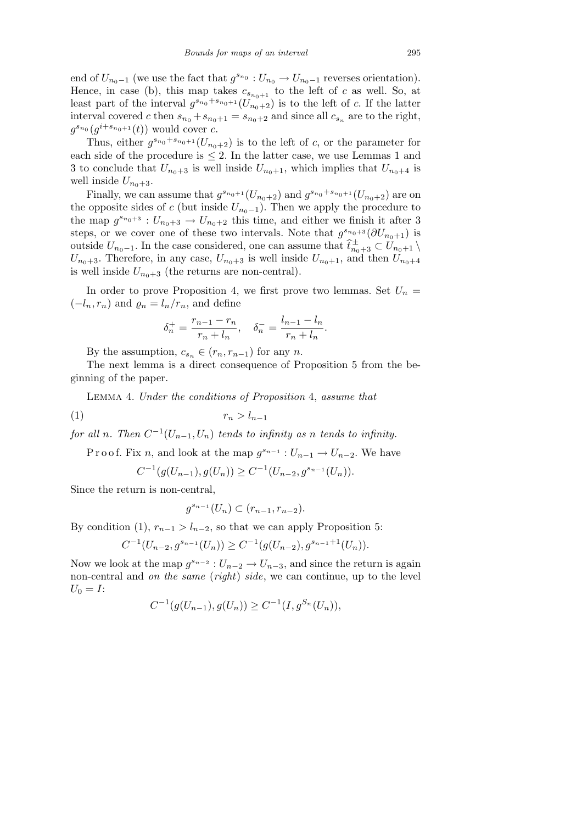end of  $U_{n_0-1}$  (we use the fact that  $g^{s_{n_0}}: U_{n_0} \to U_{n_0-1}$  reverses orientation). Hence, in case (b), this map takes  $c_{s_{n_0+1}}$  to the left of *c* as well. So, at least part of the interval  $g^{s_{n_0}+s_{n_0+1}}(U_{n_0+2}^{\sigma})$  is to the left of *c*. If the latter interval covered *c* then  $s_{n_0} + s_{n_0+1} = s_{n_0+2}$  and since all  $c_{s_n}$  are to the right,  $g^{s_{n_0}}(g^{i+s_{n_0+1}}(t))$  would cover *c*.

Thus, either  $g^{s_{n_0}+s_{n_0+1}}(U_{n_0+2})$  is to the left of *c*, or the parameter for each side of the procedure is *≤* 2. In the latter case, we use Lemmas 1 and 3 to conclude that  $U_{n_0+3}$  is well inside  $U_{n_0+1}$ , which implies that  $U_{n_0+4}$  is well inside  $U_{n_0+3}$ .

Finally, we can assume that  $g^{s_{n_0+1}}(U_{n_0+2})$  and  $g^{s_{n_0}+s_{n_0+1}}(U_{n_0+2})$  are on the opposite sides of *c* (but inside  $U_{n_0-1}$ ). Then we apply the procedure to the map  $g^{s_{n_0+3}}$ :  $U_{n_0+3} \to U_{n_0+2}$  this time, and either we finish it after 3 steps, or we cover one of these two intervals. Note that  $g^{s_{n_0+3}}(\partial U_{n_0+1})$  is outside  $U_{n_0-1}$ . In the case considered, one can assume that  $\hat{t}_{n_0+3}^{\pm} \subset U_{n_0+1} \setminus$  $U_{n_0+3}$ . Therefore, in any case,  $U_{n_0+3}$  is well inside  $U_{n_0+1}$ , and then  $U_{n_0+4}$ is well inside  $U_{n_0+3}$  (the returns are non-central).

In order to prove Proposition 4, we first prove two lemmas. Set  $U_n =$  $(-l_n, r_n)$  and  $\rho_n = l_n/r_n$ , and define

$$
\delta_n^+ = \frac{r_{n-1} - r_n}{r_n + l_n}, \quad \delta_n^- = \frac{l_{n-1} - l_n}{r_n + l_n}.
$$

By the assumption,  $c_{s_n} \in (r_n, r_{n-1})$  for any *n*.

The next lemma is a direct consequence of Proposition 5 from the beginning of the paper.

Lemma 4. *Under the conditions of Proposition* 4, *assume that*

(1) *r<sup>n</sup> > ln−*<sup>1</sup>

*for all n*. Then  $C^{-1}(U_{n-1}, U_n)$  *tends to infinity as n tends to infinity.* 

Proof. Fix *n*, and look at the map  $g^{s_{n-1}}: U_{n-1} \to U_{n-2}$ . We have

$$
C^{-1}(g(U_{n-1}), g(U_n)) \ge C^{-1}(U_{n-2}, g^{s_{n-1}}(U_n)).
$$

Since the return is non-central,

$$
g^{s_{n-1}}(U_n) \subset (r_{n-1}, r_{n-2}).
$$

By condition (1),  $r_{n-1} > l_{n-2}$ , so that we can apply Proposition 5:

$$
C^{-1}(U_{n-2}, g^{s_{n-1}}(U_n)) \ge C^{-1}(g(U_{n-2}), g^{s_{n-1}+1}(U_n)).
$$

Now we look at the map  $g^{s_{n-2}}: U_{n-2} \to U_{n-3}$ , and since the return is again non-central and *on the same* (*right*) *side*, we can continue, up to the level  $U_0 = I$ :

$$
C^{-1}(g(U_{n-1}), g(U_n)) \ge C^{-1}(I, g^{S_n}(U_n)),
$$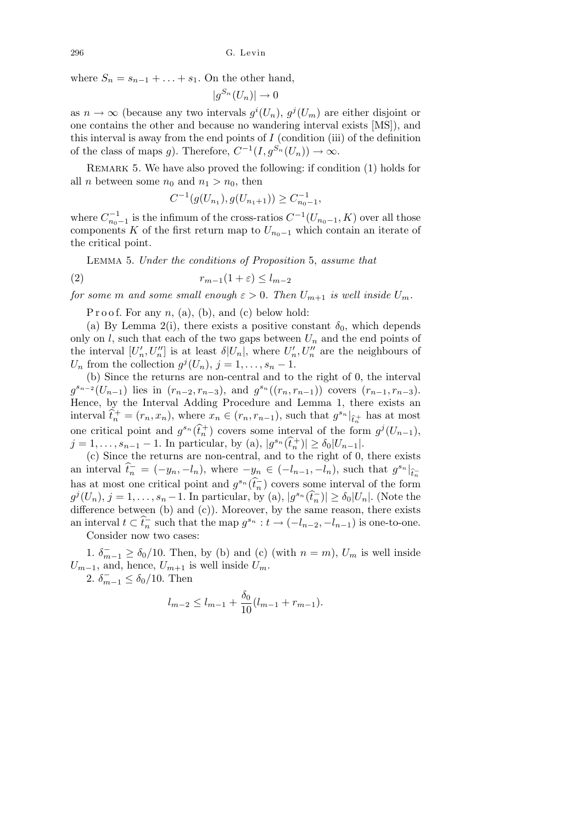where  $S_n = s_{n-1} + \ldots + s_1$ . On the other hand,

$$
|g^{S_n}(U_n)| \to 0
$$

as  $n \to \infty$  (because any two intervals  $g^{i}(U_{n}), g^{j}(U_{m})$  are either disjoint or one contains the other and because no wandering interval exists [MS]), and this interval is away from the end points of  $I$  (condition (iii) of the definition of the class of maps *g*). Therefore,  $C^{-1}(I, g^{S_n}(U_n)) \to \infty$ .

REMARK 5. We have also proved the following: if condition (1) holds for all *n* between some  $n_0$  and  $n_1 > n_0$ , then

$$
C^{-1}(g(U_{n_1}), g(U_{n_1+1})) \ge C_{n_0-1}^{-1},
$$

where  $C_{n_0-1}^{-1}$  is the infimum of the cross-ratios  $C^{-1}(U_{n_0-1}, K)$  over all those components *K* of the first return map to  $U_{n_0-1}$  which contain an iterate of the critical point.

Lemma 5. *Under the conditions of Proposition* 5, *assume that*

$$
(2) \t\t\t\t $r_{m-1}(1+\varepsilon) \leq l_{m-2}$
$$

*for some m and some small enough*  $\varepsilon > 0$ *. Then*  $U_{m+1}$  *is well inside*  $U_m$ *.* 

P r o o f. For any  $n$ , (a), (b), and (c) below hold:

(a) By Lemma 2(i), there exists a positive constant  $\delta_0$ , which depends only on  $l$ , such that each of the two gaps between  $U_n$  and the end points of the interval  $[U'_n, U''_n]$  is at least  $\delta |U_n|$ , where  $U'_n, U''_n$  are the neighbours of *U<sub>n</sub>* from the collection  $g^{j}(U_{n}), j = 1, \ldots, s_{n} - 1$ .

(b) Since the returns are non-central and to the right of 0, the interval  $g^{s_{n-2}}(U_{n-1})$  lies in  $(r_{n-2}, r_{n-3})$ , and  $g^{s_n}((r_n, r_{n-1}))$  covers  $(r_{n-1}, r_{n-3})$ . Hence, by the Interval Adding Procedure and Lemma 1, there exists an interval  $\hat{t}_n^+ = (r_n, x_n)$ , where  $x_n \in (r_n, r_{n-1})$ , such that  $g^{s_n}|_{\hat{t}_n^+}$  has at most one critical point and  $g^{s_n}(\hat{t}_n^+)$  covers some interval of the form  $g^j(U_{n-1}),$  $j = 1, \ldots, s_{n-1} - 1$ . In particular, by (a),  $|g^{s_n}(\hat{t}_n^+)| \ge \delta_0 |U_{n-1}|$ .

(c) Since the returns are non-central, and to the right of 0, there exists an interval  $\hat{t}_n^- = (-y_n, -l_n)$ , where  $-y_n \in (-l_{n-1}, -l_n)$ , such that  $g^{s_n}|_{\hat{t}_n^-}$ has at most one critical point and  $g^{s_n}(\widehat{t}_n)$  covers some interval of the form  $g^j(U_n), j = 1, \ldots, s_n - 1$ . In particular, by (a),  $|g^{s_n}(\hat{t}_n^-)| \geq \delta_0 |U_n|$ . (Note the difference between (b) and (c)). Moreover, by the same reason, there exists an interval  $t \subset \hat{t}_n^-$  such that the map  $g^{s_n} : t \to (-l_{n-2}, -l_{n-1})$  is one-to-one.

Consider now two cases:

1.  $\delta_{m-1}^- \ge \delta_0/10$ . Then, by (b) and (c) (with  $n = m$ ),  $U_m$  is well inside  $U_{m-1}$ , and, hence,  $U_{m+1}$  is well inside  $U_m$ .

2.  $\delta_{m-1}^- \le \delta_0/10$ . Then

$$
l_{m-2} \le l_{m-1} + \frac{\delta_0}{10}(l_{m-1} + r_{m-1}).
$$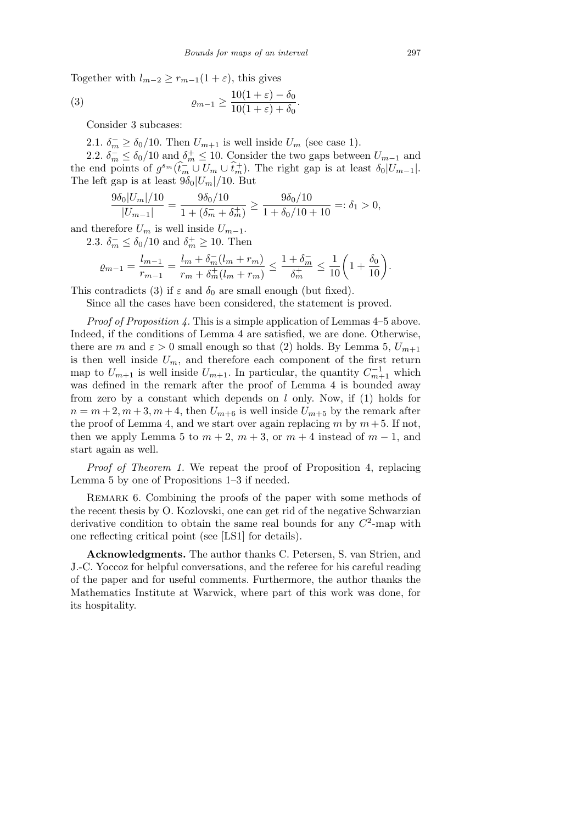Together with  $l_{m-2} \geq r_{m-1}(1+\varepsilon)$ , this gives

(3) 
$$
\varrho_{m-1} \geq \frac{10(1+\varepsilon) - \delta_0}{10(1+\varepsilon) + \delta_0}.
$$

Consider 3 subcases:

2.1.  $\delta_m^- \ge \delta_0/10$ . Then  $U_{m+1}$  is well inside  $U_m$  (see case 1).

2.2.  $\delta_m^- \leq \delta_0/10$  and  $\delta_m^+ \leq 10$ . Consider the two gaps between  $U_{m-1}$  and the end points of  $g^{s_m}(\hat{t}_m^-\cup U_m\cup\hat{t}_m^+)$ . The right gap is at least  $\delta_0|U_{m-1}|$ . The left gap is at least  $9\delta_0|U_m|/10$ . But

$$
\frac{9\delta_0|U_m|/10}{|U_{m-1}|} = \frac{9\delta_0/10}{1 + (\delta_m^- + \delta_m^+)} \ge \frac{9\delta_0/10}{1 + \delta_0/10 + 10} =: \delta_1 > 0,
$$

and therefore  $U_m$  is well inside  $U_{m-1}$ .

2.3.  $\delta_m^- \leq \delta_0/10$  and  $\delta_m^+ \geq 10$ . Then

$$
\varrho_{m-1} = \frac{l_{m-1}}{r_{m-1}} = \frac{l_m + \delta_m^-(l_m + r_m)}{r_m + \delta_m^+(l_m + r_m)} \le \frac{1 + \delta_m^-}{\delta_m^+} \le \frac{1}{10} \bigg( 1 + \frac{\delta_0}{10} \bigg).
$$

This contradicts (3) if  $\varepsilon$  and  $\delta_0$  are small enough (but fixed).

Since all the cases have been considered, the statement is proved.

*Proof of Proposition 4.* This is a simple application of Lemmas 4–5 above. Indeed, if the conditions of Lemma 4 are satisfied, we are done. Otherwise, there are *m* and  $\varepsilon > 0$  small enough so that (2) holds. By Lemma 5,  $U_{m+1}$ is then well inside  $U_m$ , and therefore each component of the first return map to  $U_{m+1}$  is well inside  $U_{m+1}$ . In particular, the quantity  $C_{m+1}^{-1}$  which was defined in the remark after the proof of Lemma 4 is bounded away from zero by a constant which depends on *l* only. Now, if (1) holds for  $n = m + 2, m + 3, m + 4$ , then  $U_{m+6}$  is well inside  $U_{m+5}$  by the remark after the proof of Lemma 4, and we start over again replacing  $m$  by  $m + 5$ . If not, then we apply Lemma 5 to  $m + 2$ ,  $m + 3$ , or  $m + 4$  instead of  $m - 1$ , and start again as well.

*Proof of Theorem 1.* We repeat the proof of Proposition 4, replacing Lemma 5 by one of Propositions 1–3 if needed.

Remark 6. Combining the proofs of the paper with some methods of the recent thesis by O. Kozlovski, one can get rid of the negative Schwarzian derivative condition to obtain the same real bounds for any  $C^2$ -map with one reflecting critical point (see [LS1] for details).

**Acknowledgments.** The author thanks C. Petersen, S. van Strien, and J.-C. Yoccoz for helpful conversations, and the referee for his careful reading of the paper and for useful comments. Furthermore, the author thanks the Mathematics Institute at Warwick, where part of this work was done, for its hospitality.